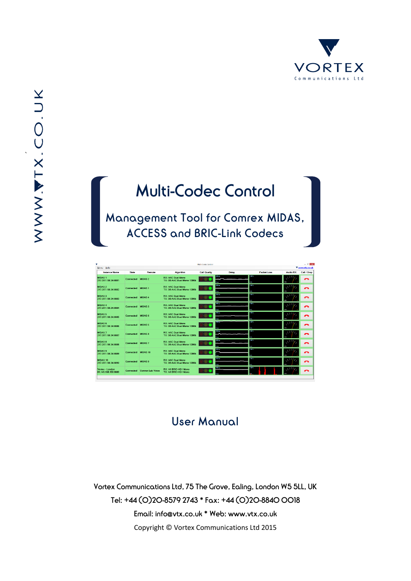

`

# Multi-Codec Control

Management Tool for Comrex MIDAS, ACCESS and BRIC-Link Codecs

| Menu Help                                 |                  |                         |                                                        | Milli-Codec Control |                              |                                                  |                 | ▼ www.vtx.co.uk |
|-------------------------------------------|------------------|-------------------------|--------------------------------------------------------|---------------------|------------------------------|--------------------------------------------------|-----------------|-----------------|
| <b>Instance Name</b>                      | <b>State</b>     | Remote                  | Algorithm                                              | <b>Call Quality</b> | Delay                        | <b>Packet Loss</b>                               | <b>Audio RX</b> | Call / Drop     |
| <b>MIDAS1</b><br>217.207.138.34:8081      | Connected        | <b>MIDAS 2</b>          | <b>RX: AAC Dual Mono</b><br>TX: D3 AAC Dual Mono 128Kb |                     | 700 m                        | 100%<br>lo z                                     |                 | ≏               |
| <b>MIDAS 2</b><br>217 207 138 34:8082     | Connected        | <b>MIDAS1</b>           | <b>RX: AAC Dual Mono</b><br>TX: D3 AAC Dual Mono 128Kb |                     | 700 mm<br>$0 + 2$            | $100 - 5$<br>lм                                  |                 | ⌒               |
| <b>MIDAS 3</b><br>217 207 138 34 8083     | Connected        | <b>MIDAS4</b>           | <b>RX: AAC Dual Mono</b><br>TX: D3 AAC Dual Mono 128Kb |                     | 700 mm<br>0 me               | $\overline{\text{max}}$<br><b>A</b> <sub>2</sub> |                 | ◠               |
| <b>MIDAS4</b><br>217 207 138 34 8084      | Connected        | <b>MIDAS3</b>           | <b>RX: AAC Dual Mono</b><br>TX: D3 AAC Dual Mono 128Kb |                     | 200144<br>0 <sub>1</sub>     | 100%<br>lo s                                     |                 | ◠               |
| <b>MIDAS 5</b><br>217.207.138.34:8085     | Connected        | <b>MIDAS 6</b>          | <b>RX: AAC Dual Mono</b><br>TX: D3 AAC Dual Mono 128Kb |                     | 200 mm<br>0 <sub>m</sub>     | 100.7<br>6.7                                     |                 | ឹ               |
| MIDAS 6<br>217.207.138.34:8086            | Connected        | <b>MIDAS 5</b>          | <b>RX: AAC Dual Mono</b><br>TX: D3 AAC Dual Mono 128Kb |                     | maa k                        | $100 - 1$<br>lох                                 |                 | ⌒               |
| MIDAS <sub>7</sub><br>217.207.138.34:8087 | Connected        | <b>MIDAS 8</b>          | <b>RX: AAC Dual Mono</b><br>TX: D3 AAC Dual Mono 128Kb |                     | 700 mi<br>$0 + 1$            | 10023<br>lo s                                    |                 | ີ               |
| <b>MIDAS 8</b><br>217.207.138.34:8088     | Connected        | <b>MIDAS7</b>           | <b>RX: AAC Dual Mono</b><br>TX: D3 AAC Dual Mono 128Kb |                     | 200m                         | 100%<br>0.7                                      |                 | ◠               |
| <b>MIDAS 9</b><br>217.207.138.34:8089     | <b>Connected</b> | MIDAS 10                | <b>RX: AAC Dual Mono</b><br>TX: D3 AAC Dual Mono 128Kb |                     | 200 mi<br>$\sigma_{\rm max}$ | 1003<br>юx                                       |                 | ີ               |
| <b>MIDAS 10</b><br>217.207.138.34:8090    | Connected        | <b>MIDAS 9</b>          | <b>RX: AAC Dual Mono</b><br>TX: D3 AAC Dual Mono 128Kb |                     | 200 m<br>0 me                | 100 %                                            |                 | ◠               |
| Vortex - London<br>81.149.138.150:8080    | Connected        | <b>Comrex Lab Voice</b> | RX: A1 BRIC-HQ1 Mono<br>TX: A1 BRIC-HQ1 Mono           |                     | 100++                        |                                                  |                 | ⌒               |

### User Manual

Vortex Communications Ltd, 75 The Grove, Ealing, London W5 5LL, UK Tel: +44 (0)20-8579 2743 \* Fax: +44 (0)20-8840 0018 Email: info@vtx.co.uk \* Web: www.vtx.co.uk Copyright © Vortex Communications Ltd 2015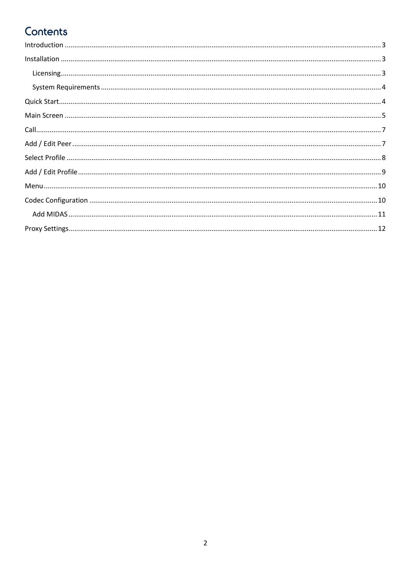# Contents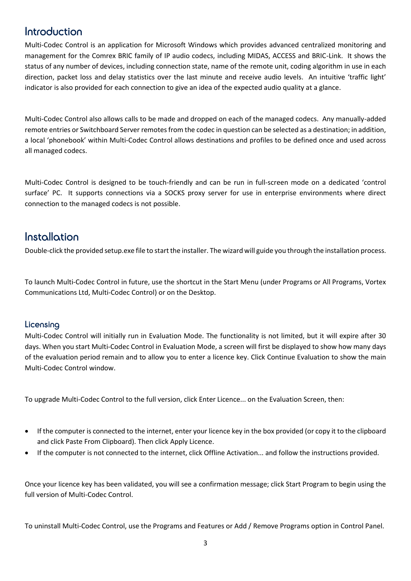### <span id="page-2-0"></span>Introduction

Multi-Codec Control is an application for Microsoft Windows which provides advanced centralized monitoring and management for the Comrex BRIC family of IP audio codecs, including MIDAS, ACCESS and BRIC-Link. It shows the status of any number of devices, including connection state, name of the remote unit, coding algorithm in use in each direction, packet loss and delay statistics over the last minute and receive audio levels. An intuitive 'traffic light' indicator is also provided for each connection to give an idea of the expected audio quality at a glance.

Multi-Codec Control also allows calls to be made and dropped on each of the managed codecs. Any manually-added remote entries or Switchboard Server remotes from the codec in question can be selected as a destination; in addition, a local 'phonebook' within Multi-Codec Control allows destinations and profiles to be defined once and used across all managed codecs.

Multi-Codec Control is designed to be touch-friendly and can be run in full-screen mode on a dedicated 'control surface' PC. It supports connections via a SOCKS proxy server for use in enterprise environments where direct connection to the managed codecs is not possible.

### <span id="page-2-1"></span>Installation

Double-click the provided setup.exe file to start the installer. The wizard will guide you through the installation process.

To launch Multi-Codec Control in future, use the shortcut in the Start Menu (under Programs or All Programs, Vortex Communications Ltd, Multi-Codec Control) or on the Desktop.

### <span id="page-2-2"></span>**Licensing**

Multi-Codec Control will initially run in Evaluation Mode. The functionality is not limited, but it will expire after 30 days. When you start Multi-Codec Control in Evaluation Mode, a screen will first be displayed to show how many days of the evaluation period remain and to allow you to enter a licence key. Click Continue Evaluation to show the main Multi-Codec Control window.

To upgrade Multi-Codec Control to the full version, click Enter Licence... on the Evaluation Screen, then:

- If the computer is connected to the internet, enter your licence key in the box provided (or copy it to the clipboard and click Paste From Clipboard). Then click Apply Licence.
- If the computer is not connected to the internet, click Offline Activation... and follow the instructions provided.

Once your licence key has been validated, you will see a confirmation message; click Start Program to begin using the full version of Multi-Codec Control.

To uninstall Multi-Codec Control, use the Programs and Features or Add / Remove Programs option in Control Panel.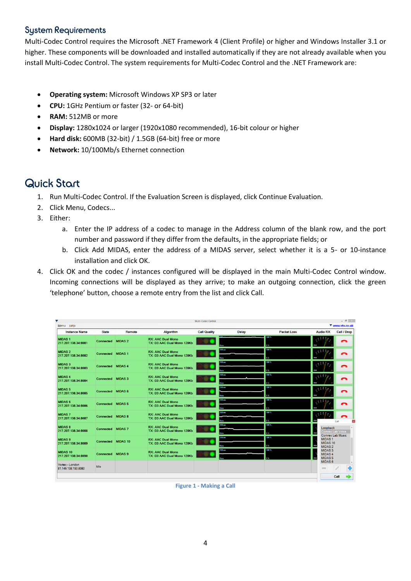### <span id="page-3-0"></span>System Requirements

Multi-Codec Control requires the Microsoft .NET Framework 4 (Client Profile) or higher and Windows Installer 3.1 or higher. These components will be downloaded and installed automatically if they are not already available when you install Multi-Codec Control. The system requirements for Multi-Codec Control and the .NET Framework are:

- **Operating system:** Microsoft Windows XP SP3 or later
- **CPU:** 1GHz Pentium or faster (32- or 64-bit)
- **RAM:** 512MB or more
- **Display:** 1280x1024 or larger (1920x1080 recommended), 16-bit colour or higher
- **Hard disk:** 600MB (32-bit) / 1.5GB (64-bit) free or more
- **Network:** 10/100Mb/s Ethernet connection

### <span id="page-3-1"></span>Quick Start

- 1. Run Multi-Codec Control. If the Evaluation Screen is displayed, click Continue Evaluation.
- 2. Click Menu, Codecs...
- 3. Either:
	- a. Enter the IP address of a codec to manage in the Address column of the blank row, and the port number and password if they differ from the defaults, in the appropriate fields; or
	- b. Click Add MIDAS, enter the address of a MIDAS server, select whether it is a 5- or 10-instance installation and click OK.
- 4. Click OK and the codec / instances configured will be displayed in the main Multi-Codec Control window. Incoming connections will be displayed as they arrive; to make an outgoing connection, click the green 'telephone' button, choose a remote entry from the list and click Call.

|                                        |                  |                 |                                                        | Multi-Codec Control |                                        |                     |                                                            | $ 0$ $\times$           |
|----------------------------------------|------------------|-----------------|--------------------------------------------------------|---------------------|----------------------------------------|---------------------|------------------------------------------------------------|-------------------------|
| Menu Help                              |                  |                 |                                                        |                     |                                        |                     |                                                            | ▼ www.vtx.co.uk         |
| <b>Instance Name</b>                   | <b>State</b>     | Remote          | Algorithm                                              | <b>Call Quality</b> | <b>Delay</b>                           | <b>Packet Loss</b>  | <b>Audio RX</b>                                            | Call / Drop             |
| <b>MIDAS1</b><br>217.207.138.34:8081   | Connected        | <b>MIDAS 2</b>  | <b>RX: AAC Dual Mono</b><br>TX: D3 AAC Dual Mono 128Kb |                     |                                        | 100 %<br><b>DES</b> |                                                            | ◠                       |
| <b>MIDAS 2</b><br>217.207.138.34:8082  | Connected        | <b>MIDAS1</b>   | <b>RX: AAC Dual Mono</b><br>TX: D3 AAC Dual Mono 128Kb |                     | 200 ms<br>0 <sub>ms</sub>              | 100 %<br>0%         |                                                            | ◠                       |
| <b>MIDAS 3</b><br>217.207.138.34:8083  | Connected        | <b>MIDAS4</b>   | <b>RX: AAC Dual Mono</b><br>TX: D3 AAC Dual Mono 128Kb |                     | 200 ms<br>0 <sub>max</sub>             | 100 %<br>0.3        |                                                            | ◠                       |
| <b>MIDAS4</b><br>217.207.138.34:8084   | Connected        | <b>MIDAS3</b>   | <b>RX: AAC Dual Mono</b><br>TX: D3 AAC Dual Mono 128Kb |                     | $200 \,\mathrm{ms}$<br>0 <sub>ms</sub> | 100%<br>0.7         |                                                            | ◠                       |
| <b>MIDAS 5</b><br>217.207.138.34:8085  | <b>Connected</b> | <b>MIDAS 6</b>  | <b>RX: AAC Dual Mono</b><br>TX: D3 AAC Dual Mono 128Kb |                     | 200 <sub>ms</sub><br>0 <sub>max</sub>  | 100.3<br>0.75       |                                                            | ◠                       |
| <b>MIDAS 6</b><br>217.207.138.34:8086  | <b>Connected</b> | <b>MIDAS5</b>   | <b>RX: AAC Dual Mono</b><br>TX: D3 AAC Dual Mono 128Kb |                     | 200 ms<br>0 <sub>ms</sub>              | 100%<br>0%          |                                                            | ⌒                       |
| <b>MIDAS7</b><br>217.207.138.34:8087   | <b>Connected</b> | <b>MIDAS 8</b>  | <b>RX: AAC Dual Mono</b><br>TX: D3 AAC Dual Mono 128Kb |                     | 200 ms<br>$0 = 5$                      | 100%<br>0 %         |                                                            | Call                    |
| <b>MIDAS 8</b><br>217.207.138.34:8088  | Connected        | <b>MIDAS7</b>   | <b>RX: AAC Dual Mono</b><br>TX: D3 AAC Dual Mono 128Kb |                     | 200 ms<br>0 <sub>ms</sub>              | 100%<br>0%          | Loopback                                                   | <b>Comrex Lab Voice</b> |
| <b>MIDAS9</b><br>217.207.138.34:8089   | Connected        | <b>MIDAS 10</b> | <b>RX: AAC Dual Mono</b><br>TX: D3 AAC Dual Mono 128Kb |                     | $200 \text{ ms}$<br>$0 - 1$            | 100%<br>0 %         | <b>MIDAS1</b><br>MIDAS <sub>10</sub><br>MIDAS <sub>2</sub> | Comrex Lab Music        |
| <b>MIDAS 10</b><br>217.207.138.34:8090 | Connected        | <b>MIDAS9</b>   | <b>RX: AAC Dual Mono</b><br>TX: D3 AAC Dual Mono 128Kb |                     | 200 ms                                 | 100 %               | MIDAS <sub>3</sub><br>MIDAS <sub>4</sub><br><b>MIDAS 5</b> |                         |
| Vortex - London<br>81.149.138.150:8080 | Idle             |                 |                                                        |                     |                                        |                     | MIDAS <sub>6</sub><br><b>COLLEGE</b>                       | ۰                       |
|                                        |                  |                 |                                                        |                     |                                        |                     |                                                            | Call                    |

**Figure 1 - Making a Call**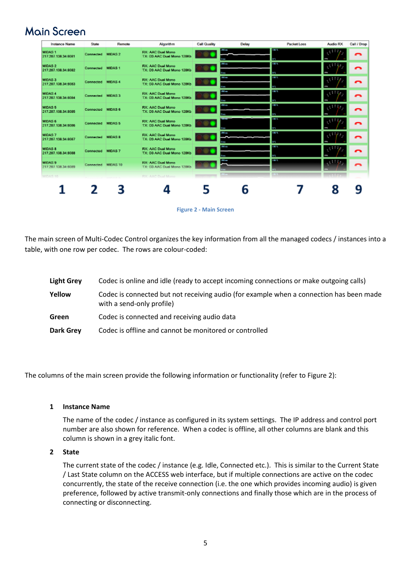### <span id="page-4-0"></span>Main Screen

| <b>Instance Name</b>                      | State              | Remote | Algorithm                                              | <b>Call Quality</b> | Delay                    | Packet Loss               | Audio RX                    | Call / Drop |
|-------------------------------------------|--------------------|--------|--------------------------------------------------------|---------------------|--------------------------|---------------------------|-----------------------------|-------------|
| <b>MIDAS1</b><br>217 207 138 34:8081      | Connected MIDAS 2  |        | <b>RX: AAC Dual Mono</b><br>TX: D3 AAC Dual Mono 128Kb |                     | <b>ARM</b><br>144        | 18.3                      |                             | ≏           |
| MIDAS 2<br>217.207.138.34:8082            | Connected MIDAS 1  |        | <b>RX: AAC Dual Mono</b><br>TX: D3 AAC Dual Mono 128Kb |                     | $m =$<br>0 Bob           | <b>TRON</b><br><b>STE</b> |                             | ◠           |
| <b>MIDAS 3</b><br>217.207.138.34:8083     | Connected MIDAS 4  |        | <b>RX: AAC Dual Mono</b><br>TX: D3 AAC Dual Mono 128Kb |                     | <b>SECTION</b><br>$\sim$ | <b>TEST</b><br><b>STE</b> |                             | ີ           |
| <b>MIDAS 4</b><br>217.207.138.34:8084     | Connected MIDAS 3  |        | <b>RX: AAC Dual Mono</b><br>TX: D3 AAC Dual Mono 128Kb |                     | <b>AS 10</b>             | 12.72                     |                             | ≏           |
| <b>MIDAS 5</b><br>217.207.138.34:8085     | Connected MIDAS 6  |        | <b>RX: AAC Dual Mono</b><br>TX: D3 AAC Dual Mono 128Kb |                     | $m =$                    | <b>COL</b><br><b>SS</b>   | رائٹی                       | ⌒           |
| <b>MIDAS 6</b><br>217.207.138.34:8086     | Connected MIDAS 5  |        | <b>RX: AAC Dual Mono</b><br>TX: D3 AAC Dual Mono 128Kb |                     |                          | <b>IBON</b><br><b>STL</b> |                             | ີ           |
| <b>MIDAS7</b><br>217.207.138.34:8087      | Connected MIDAS 8  |        | <b>RX: AAC Dual Mono</b><br>TX: D3 AAC Dual Mono 128Kb |                     | $78 - 4$<br>$0 - 4$      | 18.3                      | さすり                         | ∽           |
| <b>MIDAS &amp;</b><br>217.207.138.34:8088 | Connected MIDAS 7  |        | <b>RX: AAC Dual Mono</b><br>TX: D3 AAC Dual Mono 128Kb |                     | <b>ABRAH</b><br>a<br>B   | 100.0<br><b>STE</b>       |                             | ີ           |
| MIDAS 9<br>217.207.138.34:8089            | Connected MIDAS 10 |        | <b>RX: AAC Dual Mono</b><br>TX: D3 AAC Dual Mono 128Kh |                     | <b>JUNE 1999</b>         | 12.00                     | $\mathcal{L} = \mathcal{L}$ | ◠           |
| MIDAS 10                                  |                    |        | RX: AAC Dool Moore                                     |                     | <b>King</b>              | 11.53%                    |                             |             |
|                                           |                    |        |                                                        |                     |                          |                           |                             |             |
|                                           | 2                  | 3      |                                                        |                     | b                        |                           | 8                           | q           |



<span id="page-4-1"></span>The main screen of Multi-Codec Control organizes the key information from all the managed codecs / instances into a table, with one row per codec. The rows are colour-coded:

| <b>Light Grey</b> | Codec is online and idle (ready to accept incoming connections or make outgoing calls)                               |
|-------------------|----------------------------------------------------------------------------------------------------------------------|
| Yellow            | Codec is connected but not receiving audio (for example when a connection has been made<br>with a send-only profile) |
| Green             | Codec is connected and receiving audio data                                                                          |
| Dark Grey         | Codec is offline and cannot be monitored or controlled                                                               |

The columns of the main screen provide the following information or functionality (refer t[o Figure 2\)](#page-4-1):

#### **1 Instance Name**

The name of the codec / instance as configured in its system settings. The IP address and control port number are also shown for reference. When a codec is offline, all other columns are blank and this column is shown in a grey italic font.

#### **2 State**

The current state of the codec / instance (e.g. Idle, Connected etc.). This is similar to the Current State / Last State column on the ACCESS web interface, but if multiple connections are active on the codec concurrently, the state of the receive connection (i.e. the one which provides incoming audio) is given preference, followed by active transmit-only connections and finally those which are in the process of connecting or disconnecting.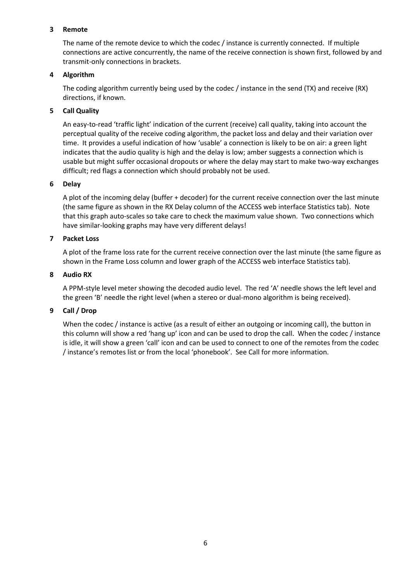#### **3 Remote**

The name of the remote device to which the codec / instance is currently connected. If multiple connections are active concurrently, the name of the receive connection is shown first, followed by and transmit-only connections in brackets.

#### **4 Algorithm**

The coding algorithm currently being used by the codec / instance in the send (TX) and receive (RX) directions, if known.

#### **5 Call Quality**

An easy-to-read 'traffic light' indication of the current (receive) call quality, taking into account the perceptual quality of the receive coding algorithm, the packet loss and delay and their variation over time. It provides a useful indication of how 'usable' a connection is likely to be on air: a green light indicates that the audio quality is high and the delay is low; amber suggests a connection which is usable but might suffer occasional dropouts or where the delay may start to make two-way exchanges difficult; red flags a connection which should probably not be used.

#### **6 Delay**

A plot of the incoming delay (buffer + decoder) for the current receive connection over the last minute (the same figure as shown in the RX Delay column of the ACCESS web interface Statistics tab). Note that this graph auto-scales so take care to check the maximum value shown. Two connections which have similar-looking graphs may have very different delays!

#### **7 Packet Loss**

A plot of the frame loss rate for the current receive connection over the last minute (the same figure as shown in the Frame Loss column and lower graph of the ACCESS web interface Statistics tab).

#### **8 Audio RX**

A PPM-style level meter showing the decoded audio level. The red 'A' needle shows the left level and the green 'B' needle the right level (when a stereo or dual-mono algorithm is being received).

#### **9 Call / Drop**

When the codec / instance is active (as a result of either an outgoing or incoming call), the button in this column will show a red 'hang up' icon and can be used to drop the call. When the codec / instance is idle, it will show a green 'call' icon and can be used to connect to one of the remotes from the codec / instance's remotes list or from the local 'phonebook'. See [Call](#page-6-0) for more information.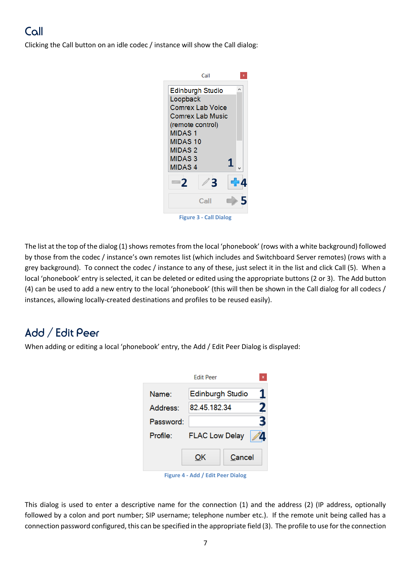### <span id="page-6-0"></span>Call

Clicking the Call button on an idle codec / instance will show the Call dialog:



The list at the top of the dialog (1) shows remotes from the local 'phonebook' (rows with a white background) followed by those from the codec / instance's own remotes list (which includes and Switchboard Server remotes) (rows with a grey background). To connect the codec / instance to any of these, just select it in the list and click Call (5). When a local 'phonebook' entry is selected, it can be deleted or edited using the appropriate buttons (2 or 3). The Add button (4) can be used to add a new entry to the local 'phonebook' (this will then be shown in the Call dialog for all codecs / instances, allowing locally-created destinations and profiles to be reused easily).

### <span id="page-6-1"></span>Add / Edit Peer

When adding or editing a local 'phonebook' entry, the Add / Edit Peer Dialog is displayed:

| <b>Fdit Peer</b> |                         |        |  |  |  |
|------------------|-------------------------|--------|--|--|--|
| Name:            | <b>Edinburgh Studio</b> | 1      |  |  |  |
| Address:         | 82.45.182.34            | 2      |  |  |  |
| Password:        |                         | 3      |  |  |  |
| Profile:         | <b>FLAC Low Delay</b>   |        |  |  |  |
|                  | OK                      | Cancel |  |  |  |

**Figure 4 - Add / Edit Peer Dialog**

This dialog is used to enter a descriptive name for the connection (1) and the address (2) (IP address, optionally followed by a colon and port number; SIP username; telephone number etc.). If the remote unit being called has a connection password configured, this can be specified in the appropriate field (3). The profile to use for the connection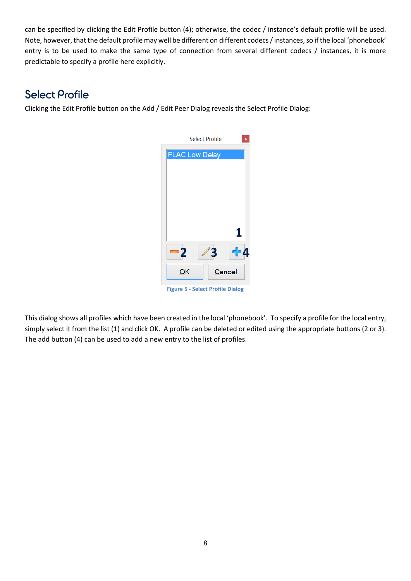can be specified by clicking the Edit Profile button (4); otherwise, the codec / instance's default profile will be used. Note, however, that the default profile may well be different on different codecs / instances, so if the local 'phonebook' entry is to be used to make the same type of connection from several different codecs / instances, it is more predictable to specify a profile here explicitly.

### <span id="page-7-0"></span>Select Profile

Clicking the Edit Profile button on the [Add / Edit Peer](#page-6-1) Dialog reveals the Select Profile Dialog:



This dialog shows all profiles which have been created in the local 'phonebook'. To specify a profile for the local entry, simply select it from the list (1) and click OK. A profile can be deleted or edited using the appropriate buttons (2 or 3). The add button (4) can be used to add a new entry to the list of profiles.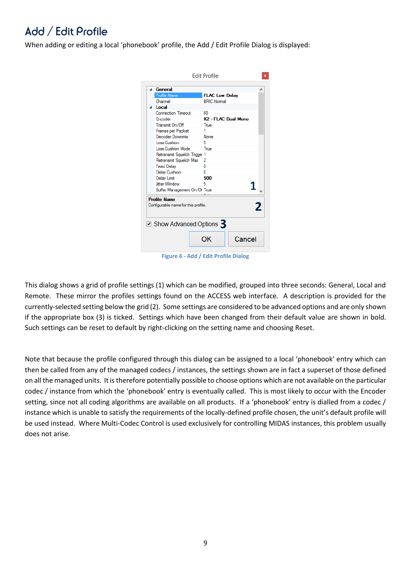# <span id="page-8-0"></span>Add / Edit Profile

When adding or editing a local 'phonebook' profile, the Add / Edit Profile Dialog is displayed:

| <sup>4</sup> General                                                                              | ۸                               |
|---------------------------------------------------------------------------------------------------|---------------------------------|
| <b>Profile Name</b>                                                                               | <b>FLAC Low Delay</b>           |
| Channel                                                                                           | <b>BRIC Normal</b>              |
| a Local                                                                                           |                                 |
| <b>Connection Timeout</b>                                                                         | 60                              |
| Encoder                                                                                           | K <sub>2</sub> - FLAC Dual Mono |
| Transmit On/Off                                                                                   | True                            |
| Frames per Packet                                                                                 | 1                               |
| Decoder Downmix                                                                                   | None                            |
| Loss Cushion                                                                                      | 5                               |
| Loss Cushion Mode                                                                                 | True                            |
| Retransmit Squelch Trigge 1                                                                       |                                 |
| Retransmit Squelch Max                                                                            | 2                               |
| <b>Fixed Delav</b>                                                                                | n                               |
| <b>Delay Cushion</b>                                                                              | n                               |
| <b>Delay Limit</b>                                                                                | 500                             |
| <b>Jitter Window</b>                                                                              | 5                               |
| Buffer Management On/Of True                                                                      |                                 |
| <b>Profile Name</b><br>Configurable name for this profile.<br>$\Box$ Show Advanced Options $\Box$ | 2                               |
|                                                                                                   |                                 |

**Figure 6 - Add / Edit Profile Dialog**

This dialog shows a grid of profile settings (1) which can be modified, grouped into three seconds: General, Local and Remote. These mirror the profiles settings found on the ACCESS web interface. A description is provided for the currently-selected setting below the grid (2). Some settings are considered to be advanced options and are only shown if the appropriate box (3) is ticked. Settings which have been changed from their default value are shown in bold. Such settings can be reset to default by right-clicking on the setting name and choosing Reset.

Note that because the profile configured through this dialog can be assigned to a local 'phonebook' entry which can then be called from any of the managed codecs / instances, the settings shown are in fact a superset of those defined on all the managed units. It istherefore potentially possible to choose options which are not available on the particular codec / instance from which the 'phonebook' entry is eventually called. This is most likely to occur with the Encoder setting, since not all coding algorithms are available on all products. If a 'phonebook' entry is dialled from a codec / instance which is unable to satisfy the requirements of the locally-defined profile chosen, the unit's default profile will be used instead. Where Multi-Codec Control is used exclusively for controlling MIDAS instances, this problem usually does not arise.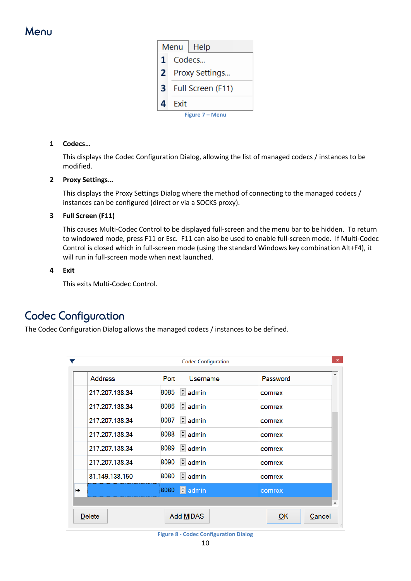### <span id="page-9-0"></span>Menu

| Menu   Help  |                   |                 |  |  |
|--------------|-------------------|-----------------|--|--|
| 1            |                   | Codecs          |  |  |
| $\mathbf{2}$ | Proxy Settings    |                 |  |  |
| $\mathbf{3}$ | Full Screen (F11) |                 |  |  |
| 4            | Exit              |                 |  |  |
|              |                   | Figure 7 – Menu |  |  |

#### **1 Codecs…**

This displays the [Codec Configuration](#page-9-1) Dialog, allowing the list of managed codecs / instances to be modified.

#### **2 Proxy Settings…**

This displays the [Proxy Settings](#page-11-0) Dialog where the method of connecting to the managed codecs / instances can be configured (direct or via a SOCKS proxy).

#### **3 Full Screen (F11)**

This causes Multi-Codec Control to be displayed full-screen and the menu bar to be hidden. To return to windowed mode, press F11 or Esc. F11 can also be used to enable full-screen mode. If Multi-Codec Control is closed which in full-screen mode (using the standard Windows key combination Alt+F4), it will run in full-screen mode when next launched.

#### **4 Exit**

This exits Multi-Codec Control.

### <span id="page-9-1"></span>Codec Configuration

The Codec Configuration Dialog allows the managed codecs / instances to be defined.

|    |                |           | <b>Codec Configuration</b> | $\boldsymbol{\times}$           |
|----|----------------|-----------|----------------------------|---------------------------------|
|    | <b>Address</b> | Port      | Username                   | ۸<br>Password                   |
|    | 217.207.138.34 | 8085      | $\frac{1}{2}$ admin        | comrex                          |
|    | 217.207.138.34 | 8086      | $H$ admin                  | comrex                          |
|    | 217.207.138.34 | ÷<br>8087 | admin                      | comrex                          |
|    | 217.207.138.34 | ÷<br>8088 | admin                      | comrex                          |
|    | 217.207.138.34 | ÷<br>8089 | admin                      | comrex                          |
|    | 217.207.138.34 | ÷<br>8090 | admin                      | comrex                          |
|    | 81.149.138.150 | ÷<br>8080 | admin                      | comrex                          |
| ▶₩ |                | 8080      | $\Box$ admin               | comrex                          |
|    |                |           |                            | v                               |
|    | <b>Delete</b>  |           | Add MIDAS                  | Cancel<br>QK<br>$\ddot{\cdots}$ |

**Figure 8 - Codec Configuration Dialog**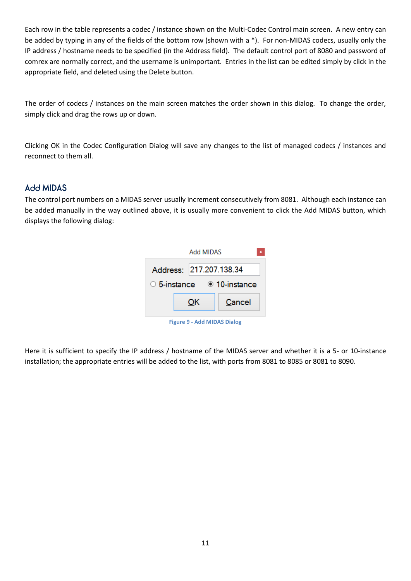Each row in the table represents a codec / instance shown on the Multi-Codec Control main screen. A new entry can be added by typing in any of the fields of the bottom row (shown with a \*). For non-MIDAS codecs, usually only the IP address / hostname needs to be specified (in the Address field). The default control port of 8080 and password of comrex are normally correct, and the username is unimportant. Entries in the list can be edited simply by click in the appropriate field, and deleted using the Delete button.

The order of codecs / instances on the main screen matches the order shown in this dialog. To change the order, simply click and drag the rows up or down.

Clicking OK in the Codec Configuration Dialog will save any changes to the list of managed codecs / instances and reconnect to them all.

### <span id="page-10-0"></span>Add MIDAS

The control port numbers on a MIDAS server usually increment consecutively from 8081. Although each instance can be added manually in the way outlined above, it is usually more convenient to click the Add MIDAS button, which displays the following dialog:

|                                        | Add MIDAS               | x      |  |  |  |
|----------------------------------------|-------------------------|--------|--|--|--|
|                                        | Address: 217.207.138.34 |        |  |  |  |
| $\circ$ 5-instance $\circ$ 10-instance |                         |        |  |  |  |
|                                        | ОΚ                      | Cancel |  |  |  |
| <b>Figure 9 - Add MIDAS Dialog</b>     |                         |        |  |  |  |

Here it is sufficient to specify the IP address / hostname of the MIDAS server and whether it is a 5- or 10-instance installation; the appropriate entries will be added to the list, with ports from 8081 to 8085 or 8081 to 8090.